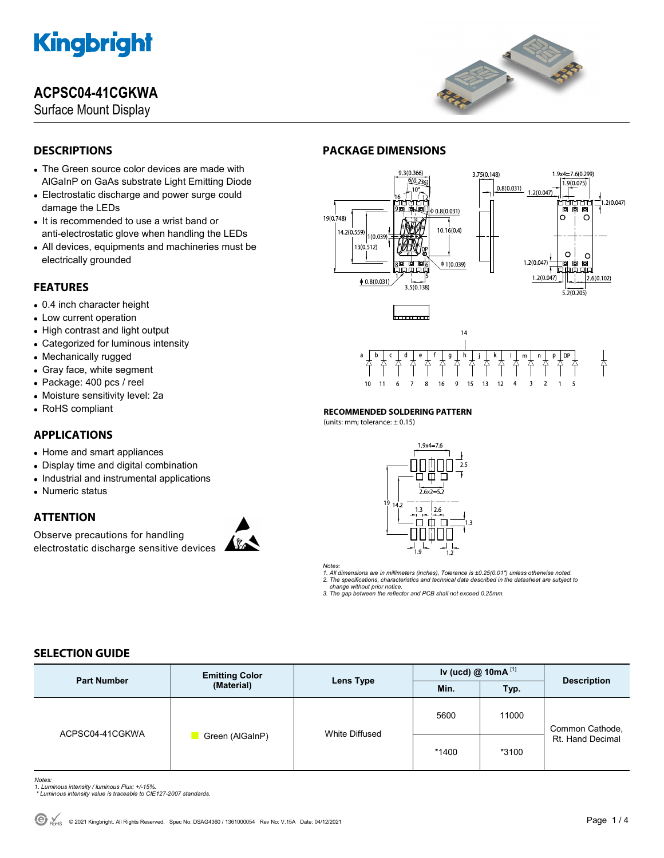# **ACPSC04-41CGKWA**

Surface Mount Display



## **DESCRIPTIONS**

- The Green source color devices are made with AlGaInP on GaAs substrate Light Emitting Diode
- Electrostatic discharge and power surge could damage the LEDs
- It is recommended to use a wrist band or anti-electrostatic glove when handling the LEDs
- All devices, equipments and machineries must be electrically grounded

### **FEATURES**

- 0.4 inch character height
- Low current operation
- High contrast and light output
- Categorized for luminous intensity
- Mechanically rugged
- Gray face, white segment
- Package: 400 pcs / reel
- Moisture sensitivity level: 2a
- RoHS compliant

## **APPLICATIONS**

- Home and smart appliances
- Display time and digital combination
- Industrial and instrumental applications
- Numeric status

## **ATTENTION**

Observe precautions for handling electrostatic discharge sensitive devices



# **PACKAGE DIMENSIONS**



#### **RECOMMENDED SOLDERING PATTERN**

 $(i$ units: mm; tolerance:  $\pm$  0.15)



*Notes:* 

*1. All dimensions are in millimeters (inches), Tolerance is ±0.25(0.01") unless otherwise noted. 2. The specifications, characteristics and technical data described in the datasheet are subject to* 

 *change without prior notice.* 

*3. The gap between the reflector and PCB shall not exceed 0.25mm.* 

## **SELECTION GUIDE**

| <b>Part Number</b> | <b>Emitting Color</b><br>(Material) | Lens Type      | Iv (ucd) @ 10mA $^{[1]}$ |       |                                     |
|--------------------|-------------------------------------|----------------|--------------------------|-------|-------------------------------------|
|                    |                                     |                | Min.                     | Typ.  | <b>Description</b>                  |
| ACPSC04-41CGKWA    | Green (AlGaInP)                     | White Diffused | 5600                     | 11000 | Common Cathode,<br>Rt. Hand Decimal |
|                    |                                     |                | *1400                    | *3100 |                                     |

*Notes:* 

*1. Luminous intensity / luminous Flux: +/-15%.* 

 *\* Luminous intensity value is traceable to CIE127-2007 standards.*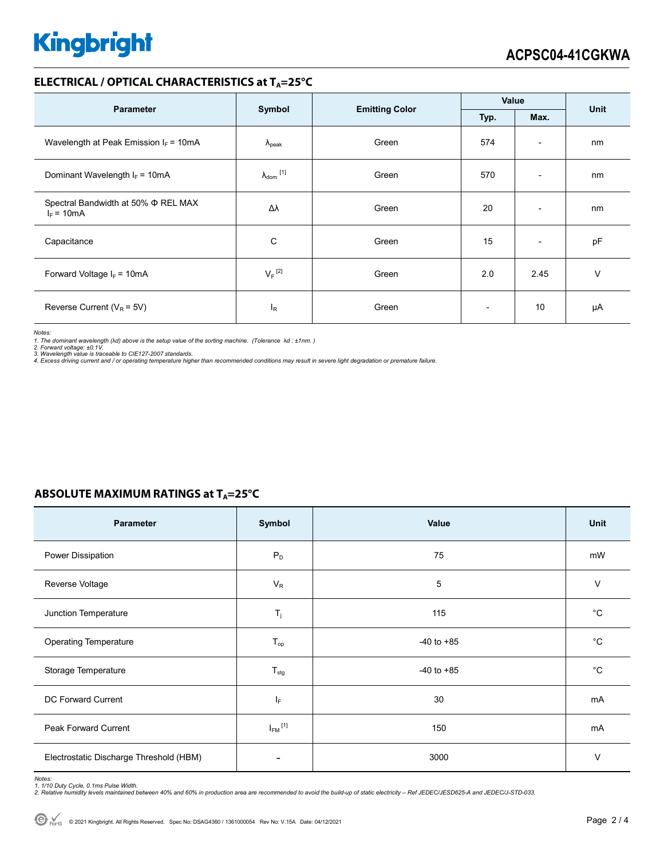### **ELECTRICAL / OPTICAL CHARACTERISTICS at TA=25°C**

| <b>Parameter</b>                                         | Symbol                     | <b>Emitting Color</b> | Value                    |                          | <b>Unit</b> |
|----------------------------------------------------------|----------------------------|-----------------------|--------------------------|--------------------------|-------------|
|                                                          | Max.<br>Typ.               |                       |                          |                          |             |
| Wavelength at Peak Emission $I_F = 10mA$                 | $\Lambda_{\rm peak}$       | Green                 | 574                      | $\overline{\phantom{a}}$ | nm          |
| Dominant Wavelength $I_F = 10mA$                         | $\lambda_{\text{dom}}$ [1] | Green                 | 570                      | $\overline{\phantom{0}}$ | nm          |
| Spectral Bandwidth at 50% $\Phi$ REL MAX<br>$I_F = 10mA$ | Δλ                         | Green                 | 20                       | $\overline{\phantom{a}}$ | nm          |
| Capacitance                                              | С                          | Green                 | 15                       | $\overline{\phantom{a}}$ | pF          |
| Forward Voltage $I_F = 10mA$                             | $V_F$ <sup>[2]</sup>       | Green                 | 2.0                      | 2.45                     | $\vee$      |
| Reverse Current ( $V_R$ = 5V)                            | $I_R$                      | Green                 | $\overline{\phantom{0}}$ | 10                       | μA          |

*Notes:* 

1. The dominant wavelength (λd) above is the setup value of the sorting machine. (Tolerance λd : ±1nm. )<br>2. Forward voltage: ±0.1V.<br>3. Wavelength value is traceable to CIE127-2007 standards.<br>4. Excess driving current and

### **ABSOLUTE MAXIMUM RATINGS at T<sub>A</sub>=25°C**

| Parameter                               | Symbol                  | Value          | Unit        |
|-----------------------------------------|-------------------------|----------------|-------------|
| Power Dissipation                       | $P_D$                   | 75             | mW          |
| Reverse Voltage                         | $V_R$                   | 5              | $\vee$      |
| Junction Temperature                    | $T_j$                   | 115            | $^{\circ}C$ |
| <b>Operating Temperature</b>            | $T_{op}$                | $-40$ to $+85$ | $^{\circ}C$ |
| Storage Temperature                     | $T_{\text{stg}}$        | $-40$ to $+85$ | $^{\circ}C$ |
| <b>DC Forward Current</b>               | IF.                     | 30             | mA          |
| Peak Forward Current                    | $I_{FM}$ <sup>[1]</sup> | 150            | mA          |
| Electrostatic Discharge Threshold (HBM) |                         | 3000           | $\vee$      |

Notes:<br>1. 1/10 Duty Cycle, 0.1ms Pulse Width.<br>2. Relative humidity levels maintained between 40% and 60% in production area are recommended to avoid the build-up of static electricity – Ref JEDEC/JESD625-A and JEDEC/J-STD-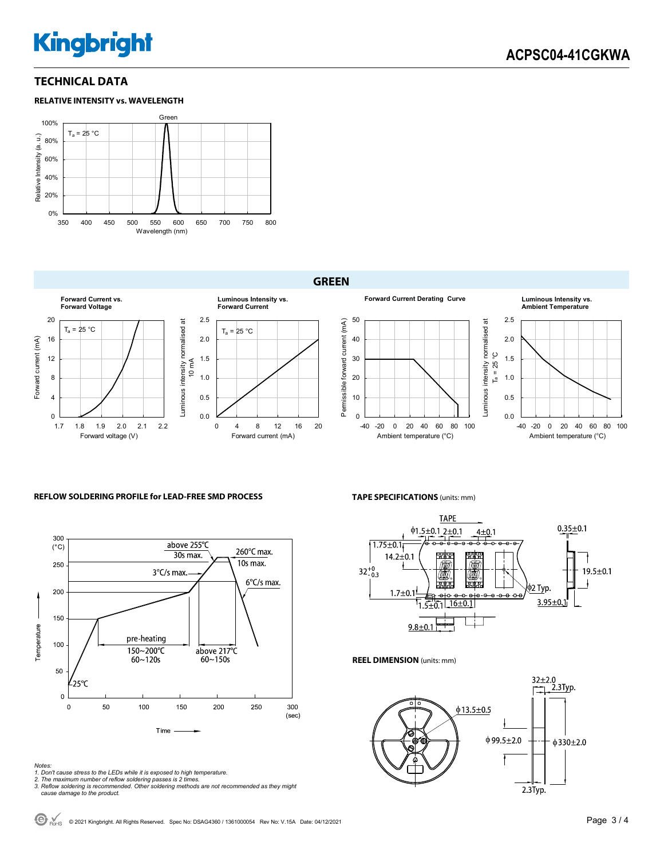### **TECHNICAL DATA**





### **GREEN**



#### **REFLOW SOLDERING PROFILE for LEAD-FREE SMD PROCESS**



#### *Notes:*

- *1. Don't cause stress to the LEDs while it is exposed to high temperature.*
- 

*2. The maximum number of reflow soldering passes is 2 times. 3. Reflow soldering is recommended. Other soldering methods are not recommended as they might cause damage to the product.* 

**TAPE SPECIFICATIONS** (units: mm)



**REEL DIMENSION** (units: mm)